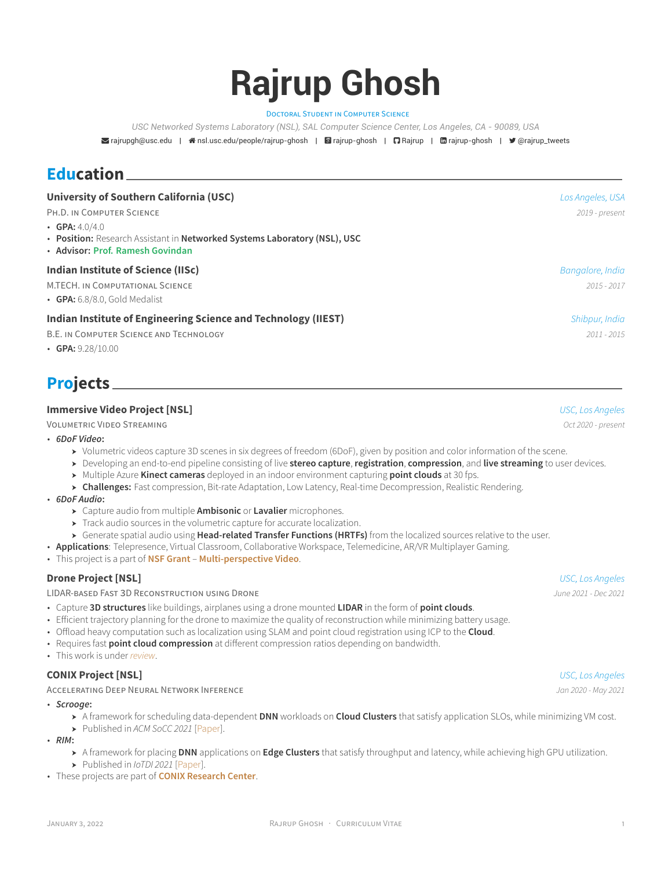# **Rajrup Ghosh**

DOCTORAL STUDENT IN COMPUTER SCIENCE

*USC Networked Systems Laboratory (NSL), SAL Computer Science Center, Los Angeles, CA - 90089, USA*

[rajrupgh@usc.edu](mailto:rajrupgh@usc.edu) | [nsl.usc.edu/people/rajrup-ghosh](http://nsl.usc.edu/people/rajrup-ghosh) | [rajrup-ghosh](https://scholar.google.com/citations?user=9M6G_S0AAAAJ&hl=en) | [Rajrup](https://github.com/Rajrup) | [rajrup-ghosh](https://www.linkedin.com/in/rajrup-ghosh) | [@rajrup\\_tweets](https://twitter.com/@rajrup_tweets)

### **Education**

| University of Southern California (USC)                                                                                           | Los Angeles, USA |
|-----------------------------------------------------------------------------------------------------------------------------------|------------------|
| PH.D. IN COMPUTER SCIENCE                                                                                                         | 2019 - present   |
| • GPA: $4.0/4.0$<br>• Position: Research Assistant in Networked Systems Laboratory (NSL), USC<br>• Advisor: Prof. Ramesh Govindan |                  |
| Indian Institute of Science (IISc)                                                                                                | Bangalore, India |
| M.TECH. IN COMPUTATIONAL SCIENCE                                                                                                  | 2015 - 2017      |
| $\cdot$ GPA: 6.8/8.0, Gold Medalist                                                                                               |                  |
| Indian Institute of Engineering Science and Technology (IIEST)                                                                    | Shibpur, India   |
| B.E. IN COMPUTER SCIENCE AND TECHNOLOGY                                                                                           | $2011 - 2015$    |
| • GPA: $9.28/10.00$                                                                                                               |                  |

# **Projects**

### **Immersive Video Project[[NSL](https://nsl.usc.edu/)]** *USC, Los Angeles*

VOLUMETRIC VIDEO STREAMING *Oct 2020 - present*

- *6DoF Video***:**
	- ] Volumetric videos capture 3D scenes in six degrees of freedom (6DoF), given by position and color information of the scene.
	- ] Developing an end-to-end pipeline consisting of live **stereo capture**, **registration**, **compression**, and **live streaming** to user devices.
	- ] Multiple Azure **Kinect cameras** deployed in an indoor environment capturing **point clouds** at 30 fps.
	- ] **Challenges:** Fast compression, Bit-rate Adaptation, Low Latency, Real-time Decompression, Realistic Rendering.
- *6DoF Audio***:**
	- ] Capture audio from multiple **Ambisonic** or **Lavalier** microphones.
	- $\blacktriangleright$  Track audio sources in the volumetric capture for accurate localization.
	- ] Generate spatial audio using **Head-related Transfer Functions (HRTFs)** from the localized sources relative to the user.
- **Applications**: Telepresence, Virtual Classroom, Collaborative Workspace, Telemedicine, AR/VR Multiplayer Gaming.
- This project is a part of **[NSF Grant](https://www.nsf.gov/awardsearch/showAward?AWD_ID=1956190&HistoricalAwards=false) [Multi-perspective Video](https://nsl.usc.edu/projects/multi-perspective-video/)**.

#### **Drone Project [\[NSL](https://nsl.usc.edu/)]** *USC, Los Angeles*

LIDAR-BASED FAST 3D RECONSTRUCTION USING DRONE *June 2021 - Dec 2021*

- Capture **3D structures** like buildings, airplanes using a drone mounted **LIDAR** in the form of **point clouds**.
- Efficient trajectory planning for the drone to maximize the quality of reconstruction while minimizing battery usage.
- Offload heavy computation such as localization using SLAM and point cloud registration using ICP to the **Cloud**.
- Requires fast **point cloud compression** at different compression ratios depending on bandwidth.
- This work is under *review*.

### **CONIX Project [\[NSL](https://nsl.usc.edu/)]** *USC, Los Angeles*

#### ACCELERATING DEEP NEURAL NETWORK INFERENCE *Jan 2020 - May 2021*

- *Scrooge***:**
	- ] A framework for scheduling data-dependent **DNN** workloads on **Cloud Clusters** that satisfy application SLOs, while minimizing VM cost.
	- ] Published in *ACM SoCC 2021* [[Paper\]](https://dl.acm.org/doi/abs/10.1145/3472883.3486993).
- *RIM***:**
	- ] A framework for placing **DNN** applications on **Edge Clusters** that satisfy throughput and latency, while achieving high GPU utilization.
	- ] Published in *IoTDI 2021* [\[Paper\]](https://dl.acm.org/doi/abs/10.1145/3450268.3453521).
- These projects are part of **[CONIX Research Center](https://conix.io/research)**.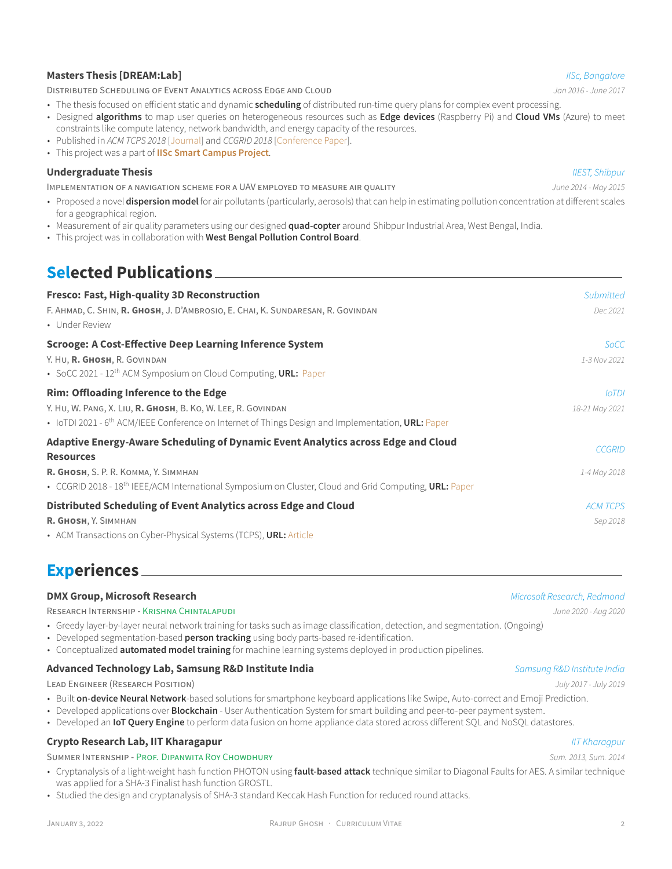#### **Masters Thesis [\[DREAM:Lab](http://dream-lab.cds.iisc.ac.in/)]** *IISc, Bangalore*

DISTRIBUTED SCHEDULING OF EVENT ANALYTICS ACROSS EDGE AND CLOUD *Jan 2016 - June 2017*

- The thesis focused on efficient static and dynamic **scheduling** of distributed run-time query plans for complex event processing.
- Designed **algorithms** to map user queries on heterogeneous resources such as **Edge devices** (Raspberry Pi) and **Cloud VMs** (Azure) to meet constraints like compute latency, network bandwidth, and energy capacity of the resources.
- Published in *ACM TCPS 2018* [\[Journal](https://dl.acm.org/citation.cfm?id=3140256)] and *CCGRID 2018* [\[Conference Paper](https://ieeexplore.ieee.org/document/8411011)].
- This project was a part of **[IISc Smart Campus Project](https://cps.iisc.ac.in/iisc-smart-campus/)**.

#### **Undergraduate Thesis** *IIEST, Shibpur*

IMPLEMENTATION OF A NAVIGATION SCHEME FOR A UAV EMPLOYED TO MEASURE AIR QUALITY *June 2014 - May 2015*

- Proposed a novel **dispersion model** for air pollutants (particularly, aerosols) that can help in estimating pollution concentration at different scales for a geographical region.
- Measurement of air quality parameters using our designed **quad-copter** around Shibpur Industrial Area, West Bengal, India.
- This project was in collaboration with **West Bengal Pollution Control Board**.

# **Selected Publications**

| <b>Fresco: Fast, High-quality 3D Reconstruction</b>                                                                                                                  | Submitted       |
|----------------------------------------------------------------------------------------------------------------------------------------------------------------------|-----------------|
| F. AHMAD, C. SHIN, R. GHOSH, J. D'AMBROSIO, E. CHAI, K. SUNDARESAN, R. GOVINDAN<br>• Under Review                                                                    | Dec 2021        |
| <b>Scrooge: A Cost-Effective Deep Learning Inference System</b>                                                                                                      | <b>SoCC</b>     |
| Y. HU, R. GHOSH, R. GOVINDAN<br>• SoCC 2021 - 12 <sup>th</sup> ACM Symposium on Cloud Computing, URL: Paper                                                          | 1-3 Nov 2021    |
| <b>Rim: Offloading Inference to the Edge</b>                                                                                                                         | <b>IoTDI</b>    |
| Y. HU, W. PANG, X. LIU, R. GHOSH, B. KO, W. LEE, R. GOVINDAN<br>• IoTDI 2021 - $6th$ ACM/IEEE Conference on Internet of Things Design and Implementation, URL: Paper | 18-21 May 2021  |
| Adaptive Energy-Aware Scheduling of Dynamic Event Analytics across Edge and Cloud<br><b>Resources</b>                                                                | <b>CCGRID</b>   |
| R. GHOSH, S. P. R. KOMMA, Y. SIMMHAN<br>• CCGRID 2018 - 18 <sup>th</sup> IEEE/ACM International Symposium on Cluster, Cloud and Grid Computing, URL: Paper           | 1-4 May 2018    |
| Distributed Scheduling of Event Analytics across Edge and Cloud                                                                                                      | <b>ACM TCPS</b> |
| R. GHOSH, Y. SIMMHAN                                                                                                                                                 | Sep 2018        |
| • ACM Transactions on Cyber-Physical Systems (TCPS), URL: Article                                                                                                    |                 |

### **Experiences**

#### **DMX Group, Microsoft Research** *Microsoft Research, Redmond*

RESEARCH INTERNSHIP - [KRISHNA CHINTALAPUDI](https://www.microsoft.com/en-us/research/people/krchinta/) *June 2020 - Aug 2020*

• Greedy layer-by-layer neural network training for tasks such as image classification, detection, and segmentation. (Ongoing)

- Developed segmentation-based **person tracking** using body parts-based re-identification.
- Conceptualized **automated model training** for machine learning systems deployed in production pipelines.

#### **Advanced Technology Lab, Samsung R&D Institute India** *Samsung R&D Institute India*

LEAD ENGINEER (RESEARCH POSITION) *July 2017 - July 2019*

• Built **on-device Neural Network**-based solutions for smartphone keyboard applications like Swipe, Auto-correct and Emoji Prediction.

• Developed applications over **Blockchain** - User Authentication System for smart building and peer-to-peer payment system.

• Developed an **IoT Query Engine** to perform data fusion on home appliance data stored across different SQL and NoSQL datastores.

#### **Crypto Research Lab, IIT Kharagapur** *IIT Kharagpur*

#### SUMMER INTERNSHIP - [PROF. DIPANWITA ROY CHOWDHURY](http://www.facweb.iitkgp.ac.in/~drc/) *Sum. 2013, Sum. 2014*

- Cryptanalysis of a light-weight hash function PHOTON using **fault-based attack** technique similar to Diagonal Faults for AES. A similar technique was applied for a SHA-3 Finalist hash function GROSTL.
- Studied the design and cryptanalysis of SHA-3 standard Keccak Hash Function for reduced round attacks.